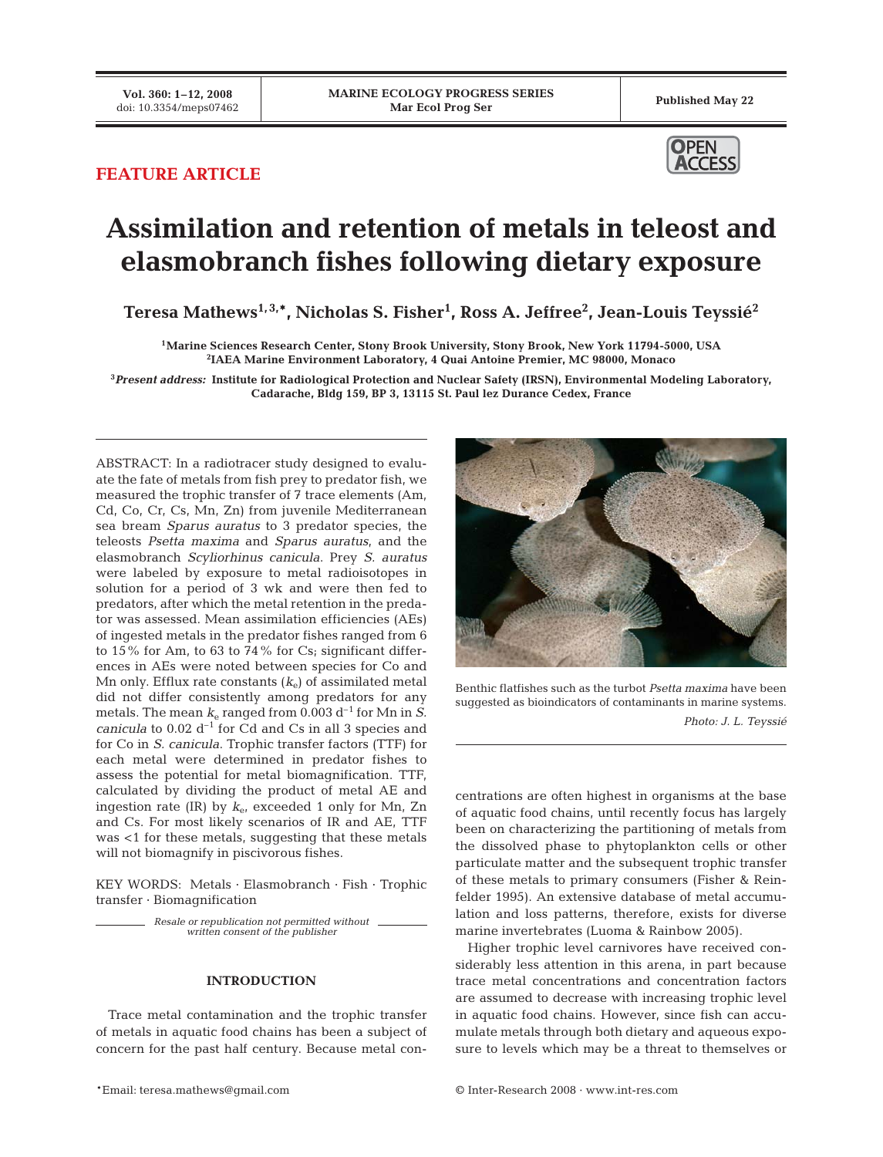## **FEATURE ARTICLE**



# **Assimilation and retention of metals in teleost and elasmobranch fishes following dietary exposure**

**Teresa Mathews1, 3,\*, Nicholas S. Fisher1 , Ross A. Jeffree2 , Jean-Louis Teyssié2**

**1Marine Sciences Research Center, Stony Brook University, Stony Brook, New York 11794-5000, USA 2 IAEA Marine Environment Laboratory, 4 Quai Antoine Premier, MC 98000, Monaco**

**3** *Present address:* **Institute for Radiological Protection and Nuclear Safety (IRSN), Environmental Modeling Laboratory, Cadarache, Bldg 159, BP 3, 13115 St. Paul lez Durance Cedex, France**

ABSTRACT: In a radiotracer study designed to evaluate the fate of metals from fish prey to predator fish, we measured the trophic transfer of 7 trace elements (Am, Cd, Co, Cr, Cs, Mn, Zn) from juvenile Mediterranean sea bream *Sparus auratus* to 3 predator species, the teleosts *Psetta maxima* and *Sparus auratus*, and the elasmobranch *Scyliorhinus canicula*. Prey *S. auratus* were labeled by exposure to metal radioisotopes in solution for a period of 3 wk and were then fed to predators, after which the metal retention in the predator was assessed. Mean assimilation efficiencies (AEs) of ingested metals in the predator fishes ranged from 6 to 15% for Am, to 63 to 74% for Cs; significant differences in AEs were noted between species for Co and Mn only. Efflux rate constants  $(k_e)$  of assimilated metal did not differ consistently among predators for any metals. The mean  $k_e$  ranged from 0.003 d<sup>-1</sup> for Mn in  $\overline{S}$ . *canicula* to  $0.02 d^{-1}$  for Cd and Cs in all 3 species and for Co in *S. canicula*. Trophic transfer factors (TTF) for each metal were determined in predator fishes to assess the potential for metal biomagnification. TTF, calculated by dividing the product of metal AE and ingestion rate  $(IR)$  by  $k_{e}$ , exceeded 1 only for Mn, Zn and Cs. For most likely scenarios of IR and AE, TTF was <1 for these metals, suggesting that these metals will not biomagnify in piscivorous fishes.

KEY WORDS: Metals · Elasmobranch · Fish · Trophic transfer · Biomagnification

> *Resale or republication not permitted without written consent of the publisher*

### **INTRODUCTION**

Trace metal contamination and the trophic transfer of metals in aquatic food chains has been a subject of concern for the past half century. Because metal con-



Benthic flatfishes such as the turbot *Psetta maxima* have been suggested as bioindicators of contaminants in marine systems. *Photo: J. L. Teyssié*

centrations are often highest in organisms at the base of aquatic food chains, until recently focus has largely been on characterizing the partitioning of metals from the dissolved phase to phytoplankton cells or other particulate matter and the subsequent trophic transfer of these metals to primary consumers (Fisher & Reinfelder 1995). An extensive database of metal accumulation and loss patterns, therefore, exists for diverse marine invertebrates (Luoma & Rainbow 2005).

Higher trophic level carnivores have received considerably less attention in this arena, in part because trace metal concentrations and concentration factors are assumed to decrease with increasing trophic level in aquatic food chains. However, since fish can accumulate metals through both dietary and aqueous exposure to levels which may be a threat to themselves or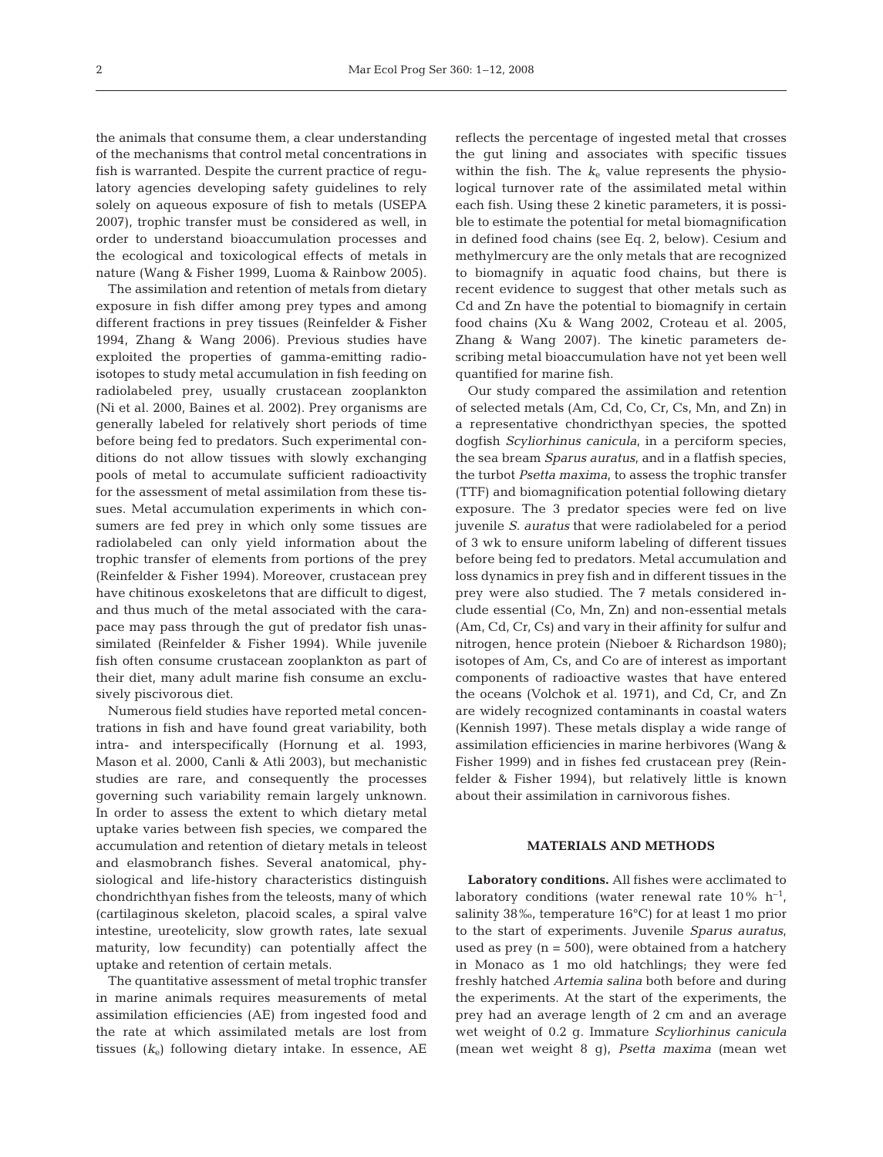the animals that consume them, a clear understanding of the mechanisms that control metal concentrations in fish is warranted. Despite the current practice of regulatory agencies developing safety guidelines to rely solely on aqueous exposure of fish to metals (USEPA 2007), trophic transfer must be considered as well, in order to understand bioaccumulation processes and the ecological and toxicological effects of metals in nature (Wang & Fisher 1999, Luoma & Rainbow 2005).

The assimilation and retention of metals from dietary exposure in fish differ among prey types and among different fractions in prey tissues (Reinfelder & Fisher 1994, Zhang & Wang 2006). Previous studies have exploited the properties of gamma-emitting radioisotopes to study metal accumulation in fish feeding on radiolabeled prey, usually crustacean zooplankton (Ni et al. 2000, Baines et al. 2002). Prey organisms are generally labeled for relatively short periods of time before being fed to predators. Such experimental conditions do not allow tissues with slowly exchanging pools of metal to accumulate sufficient radioactivity for the assessment of metal assimilation from these tissues. Metal accumulation experiments in which consumers are fed prey in which only some tissues are radiolabeled can only yield information about the trophic transfer of elements from portions of the prey (Reinfelder & Fisher 1994). Moreover, crustacean prey have chitinous exoskeletons that are difficult to digest, and thus much of the metal associated with the carapace may pass through the gut of predator fish unassimilated (Reinfelder & Fisher 1994). While juvenile fish often consume crustacean zooplankton as part of their diet, many adult marine fish consume an exclusively piscivorous diet.

Numerous field studies have reported metal concentrations in fish and have found great variability, both intra- and interspecifically (Hornung et al. 1993, Mason et al. 2000, Canli & Atli 2003), but mechanistic studies are rare, and consequently the processes governing such variability remain largely unknown. In order to assess the extent to which dietary metal uptake varies between fish species, we compared the accumulation and retention of dietary metals in teleost and elasmobranch fishes. Several anatomical, physiological and life-history characteristics distinguish chondrichthyan fishes from the teleosts, many of which (cartilaginous skeleton, placoid scales, a spiral valve intestine, ureotelicity, slow growth rates, late sexual maturity, low fecundity) can potentially affect the uptake and retention of certain metals.

The quantitative assessment of metal trophic transfer in marine animals requires measurements of metal assimilation efficiencies (AE) from ingested food and the rate at which assimilated metals are lost from tissues  $(k_e)$  following dietary intake. In essence,  $AE$ 

reflects the percentage of ingested metal that crosses the gut lining and associates with specific tissues within the fish. The  $k_e$  value represents the physiological turnover rate of the assimilated metal within each fish. Using these 2 kinetic parameters, it is possible to estimate the potential for metal biomagnification in defined food chains (see Eq. 2, below). Cesium and methylmercury are the only metals that are recognized to biomagnify in aquatic food chains, but there is recent evidence to suggest that other metals such as Cd and Zn have the potential to biomagnify in certain food chains (Xu & Wang 2002, Croteau et al. 2005, Zhang & Wang 2007). The kinetic parameters describing metal bioaccumulation have not yet been well quantified for marine fish.

Our study compared the assimilation and retention of selected metals (Am, Cd, Co, Cr, Cs, Mn, and Zn) in a representative chondricthyan species, the spotted dogfish *Scyliorhinus canicula*, in a perciform species, the sea bream *Sparus auratus*, and in a flatfish species, the turbot *Psetta maxima*, to assess the trophic transfer (TTF) and biomagnification potential following dietary exposure. The 3 predator species were fed on live juvenile *S. auratus* that were radiolabeled for a period of 3 wk to ensure uniform labeling of different tissues before being fed to predators. Metal accumulation and loss dynamics in prey fish and in different tissues in the prey were also studied. The 7 metals considered include essential (Co, Mn, Zn) and non-essential metals (Am, Cd, Cr, Cs) and vary in their affinity for sulfur and nitrogen, hence protein (Nieboer & Richardson 1980); isotopes of Am, Cs, and Co are of interest as important components of radioactive wastes that have entered the oceans (Volchok et al. 1971), and Cd, Cr, and Zn are widely recognized contaminants in coastal waters (Kennish 1997). These metals display a wide range of assimilation efficiencies in marine herbivores (Wang & Fisher 1999) and in fishes fed crustacean prey (Reinfelder & Fisher 1994), but relatively little is known about their assimilation in carnivorous fishes.

#### **MATERIALS AND METHODS**

**Laboratory conditions.** All fishes were acclimated to laboratory conditions (water renewal rate  $10\%$  h<sup>-1</sup>, salinity 38‰, temperature 16°C) for at least 1 mo prior to the start of experiments. Juvenile *Sparus auratus*, used as prey  $(n = 500)$ , were obtained from a hatchery in Monaco as 1 mo old hatchlings; they were fed freshly hatched *Artemia salina* both before and during the experiments. At the start of the experiments, the prey had an average length of 2 cm and an average wet weight of 0.2 g. Immature *Scyliorhinus canicula* (mean wet weight 8 g), *Psetta maxima* (mean wet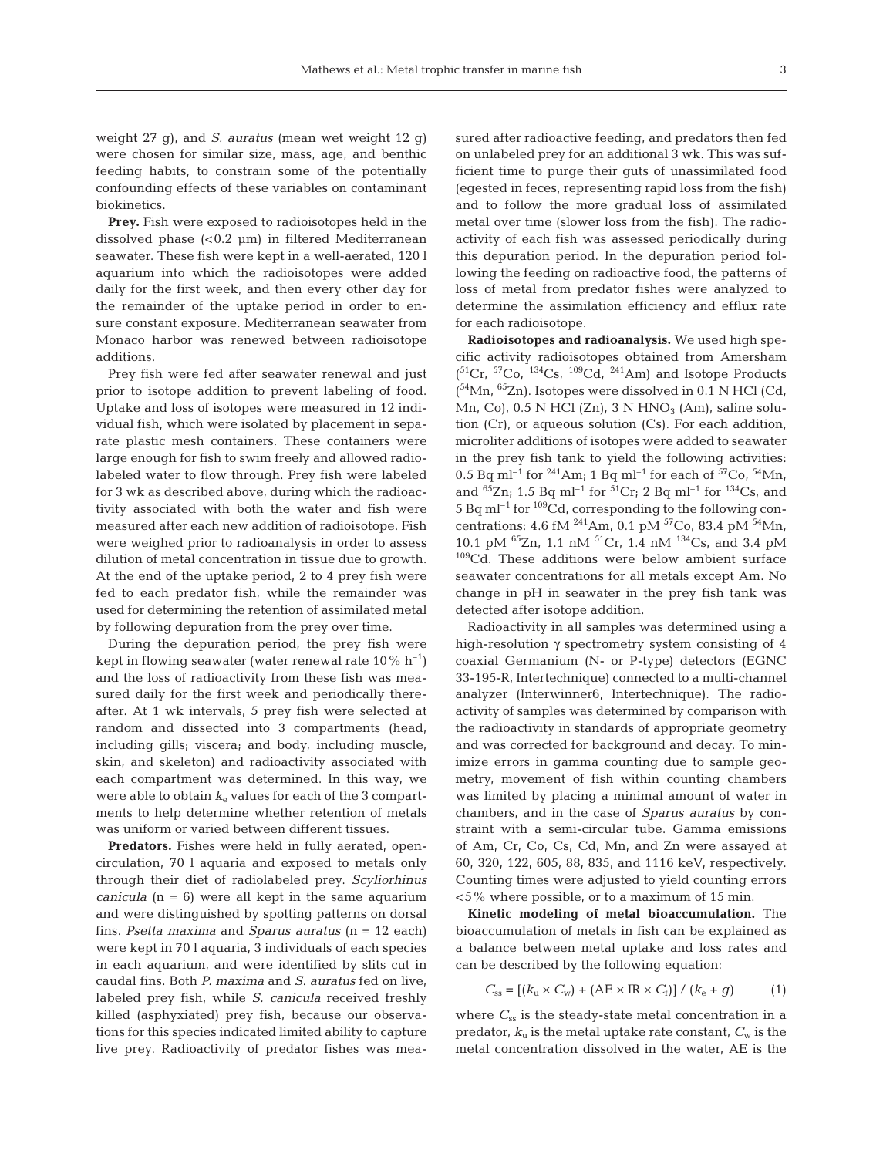weight 27 g), and *S. auratus* (mean wet weight 12 g) were chosen for similar size, mass, age, and benthic feeding habits, to constrain some of the potentially confounding effects of these variables on contaminant biokinetics.

**Prey.** Fish were exposed to radioisotopes held in the dissolved phase (<0.2 µm) in filtered Mediterranean seawater. These fish were kept in a well-aerated, 120 l aquarium into which the radioisotopes were added daily for the first week, and then every other day for the remainder of the uptake period in order to ensure constant exposure. Mediterranean seawater from Monaco harbor was renewed between radioisotope additions.

Prey fish were fed after seawater renewal and just prior to isotope addition to prevent labeling of food. Uptake and loss of isotopes were measured in 12 individual fish, which were isolated by placement in separate plastic mesh containers. These containers were large enough for fish to swim freely and allowed radiolabeled water to flow through. Prey fish were labeled for 3 wk as described above, during which the radioactivity associated with both the water and fish were measured after each new addition of radioisotope. Fish were weighed prior to radioanalysis in order to assess dilution of metal concentration in tissue due to growth. At the end of the uptake period, 2 to 4 prey fish were fed to each predator fish, while the remainder was used for determining the retention of assimilated metal by following depuration from the prey over time.

During the depuration period, the prey fish were kept in flowing seawater (water renewal rate  $10\%$  h<sup>-1</sup>) and the loss of radioactivity from these fish was measured daily for the first week and periodically thereafter. At 1 wk intervals, 5 prey fish were selected at random and dissected into 3 compartments (head, including gills; viscera; and body, including muscle, skin, and skeleton) and radioactivity associated with each compartment was determined. In this way, we were able to obtain  $k_e$  values for each of the 3 compartments to help determine whether retention of metals was uniform or varied between different tissues.

**Predators.** Fishes were held in fully aerated, opencirculation, 70 l aquaria and exposed to metals only through their diet of radiolabeled prey. *Scyliorhinus canicula*  $(n = 6)$  were all kept in the same aquarium and were distinguished by spotting patterns on dorsal fins. *Psetta maxima* and *Sparus auratus* (n = 12 each) were kept in 70 l aquaria, 3 individuals of each species in each aquarium, and were identified by slits cut in caudal fins. Both *P. maxima* and *S. auratus* fed on live, labeled prey fish, while *S. canicula* received freshly killed (asphyxiated) prey fish, because our observations for this species indicated limited ability to capture live prey. Radioactivity of predator fishes was measured after radioactive feeding, and predators then fed on unlabeled prey for an additional 3 wk. This was sufficient time to purge their guts of unassimilated food (egested in feces, representing rapid loss from the fish) and to follow the more gradual loss of assimilated metal over time (slower loss from the fish). The radioactivity of each fish was assessed periodically during this depuration period. In the depuration period following the feeding on radioactive food, the patterns of loss of metal from predator fishes were analyzed to determine the assimilation efficiency and efflux rate for each radioisotope.

**Radioisotopes and radioanalysis.** We used high specific activity radioisotopes obtained from Amersham  $(^{51}Cr, ^{57}Co, ^{134}Cs, ^{109}Cd, ^{241}Am)$  and Isotope Products  $(^{54}$ Mn,  $^{65}$ Zn). Isotopes were dissolved in 0.1 N HCl (Cd, Mn, Co), 0.5 N HCl (Zn), 3 N  $HNO<sub>3</sub>$  (Am), saline solution (Cr), or aqueous solution (Cs). For each addition, microliter additions of isotopes were added to seawater in the prey fish tank to yield the following activities: 0.5 Bq ml<sup>-1</sup> for <sup>241</sup>Am; 1 Bq ml<sup>-1</sup> for each of <sup>57</sup>Co, <sup>54</sup>Mn, and  ${}^{65}Zn$ ; 1.5 Bq ml<sup>-1</sup> for  ${}^{51}Cr$ ; 2 Bq ml<sup>-1</sup> for  ${}^{134}Cs$ , and  $5 Bq$  ml<sup>-1</sup> for <sup>109</sup>Cd, corresponding to the following concentrations: 4.6 fM  $^{241}\mathrm{Am}$ , 0.1 pM  $^{57}\mathrm{Co}$ , 83.4 pM  $^{54}\mathrm{Mn}$ , 10.1 pM  ${}^{65}$ Zn, 1.1 nM  ${}^{51}$ Cr, 1.4 nM  ${}^{134}$ Cs, and 3.4 pM 109Cd. These additions were below ambient surface seawater concentrations for all metals except Am. No change in pH in seawater in the prey fish tank was detected after isotope addition.

Radioactivity in all samples was determined using a high-resolution γ spectrometry system consisting of 4 coaxial Germanium (N- or P-type) detectors (EGNC 33-195-R, Intertechnique) connected to a multi-channel analyzer (Interwinner6, Intertechnique). The radioactivity of samples was determined by comparison with the radioactivity in standards of appropriate geometry and was corrected for background and decay. To minimize errors in gamma counting due to sample geometry, movement of fish within counting chambers was limited by placing a minimal amount of water in chambers, and in the case of *Sparus auratus* by constraint with a semi-circular tube. Gamma emissions of Am, Cr, Co, Cs, Cd, Mn, and Zn were assayed at 60, 320, 122, 605, 88, 835, and 1116 keV, respectively. Counting times were adjusted to yield counting errors <5% where possible, or to a maximum of 15 min.

**Kinetic modeling of metal bioaccumulation.** The bioaccumulation of metals in fish can be explained as a balance between metal uptake and loss rates and can be described by the following equation:

$$
C_{\rm ss} = \left[ \left( k_{\rm u} \times C_{\rm w} \right) + \left( \mathbf{A} \mathbf{E} \times \mathbf{I} \mathbf{R} \times C_{\rm f} \right) \right] / \left( k_{\rm e} + g \right) \tag{1}
$$

where  $C_{ss}$  is the steady-state metal concentration in a predator,  $k_u$  is the metal uptake rate constant,  $C_w$  is the metal concentration dissolved in the water, AE is the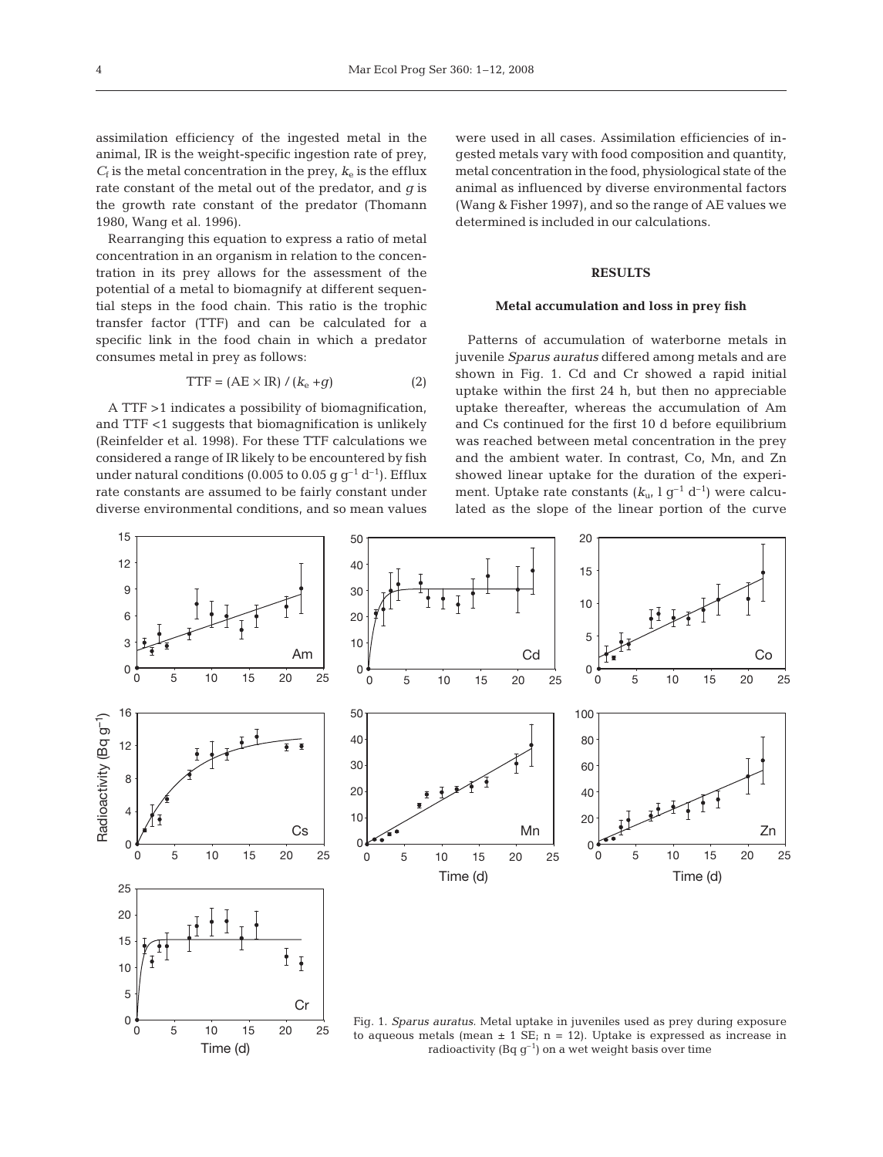assimilation efficiency of the ingested metal in the animal, IR is the weight-specific ingestion rate of prey,  $C_f$  is the metal concentration in the prey,  $k_e$  is the efflux rate constant of the metal out of the predator, and *g* is the growth rate constant of the predator (Thomann 1980, Wang et al. 1996).

Rearranging this equation to express a ratio of metal concentration in an organism in relation to the concentration in its prey allows for the assessment of the potential of a metal to biomagnify at different sequential steps in the food chain. This ratio is the trophic transfer factor (TTF) and can be calculated for a specific link in the food chain in which a predator consumes metal in prey as follows:

$$
TTF = (AE \times IR) / (k_e + g)
$$
 (2)

A TTF >1 indicates a possibility of biomagnification, and TTF <1 suggests that biomagnification is unlikely (Reinfelder et al. 1998). For these TTF calculations we considered a range of IR likely to be encountered by fish under natural conditions (0.005 to 0.05 g  $g^{-1} d^{-1}$ ). Efflux rate constants are assumed to be fairly constant under diverse environmental conditions, and so mean values were used in all cases. Assimilation efficiencies of ingested metals vary with food composition and quantity, metal concentration in the food, physiological state of the animal as influenced by diverse environmental factors (Wang & Fisher 1997), and so the range of AE values we determined is included in our calculations.

#### **RESULTS**

#### **Metal accumulation and loss in prey fish**

Patterns of accumulation of waterborne metals in juvenile *Sparus auratus* differed among metals and are shown in Fig. 1. Cd and Cr showed a rapid initial uptake within the first 24 h, but then no appreciable uptake thereafter, whereas the accumulation of Am and Cs continued for the first 10 d before equilibrium was reached between metal concentration in the prey and the ambient water. In contrast, Co, Mn, and Zn showed linear uptake for the duration of the experiment. Uptake rate constants  $(k_{u}, 1 g^{-1} d^{-1})$  were calculated as the slope of the linear portion of the curve



radioactivity (Bq  $g^{-1}$ ) on a wet weight basis over time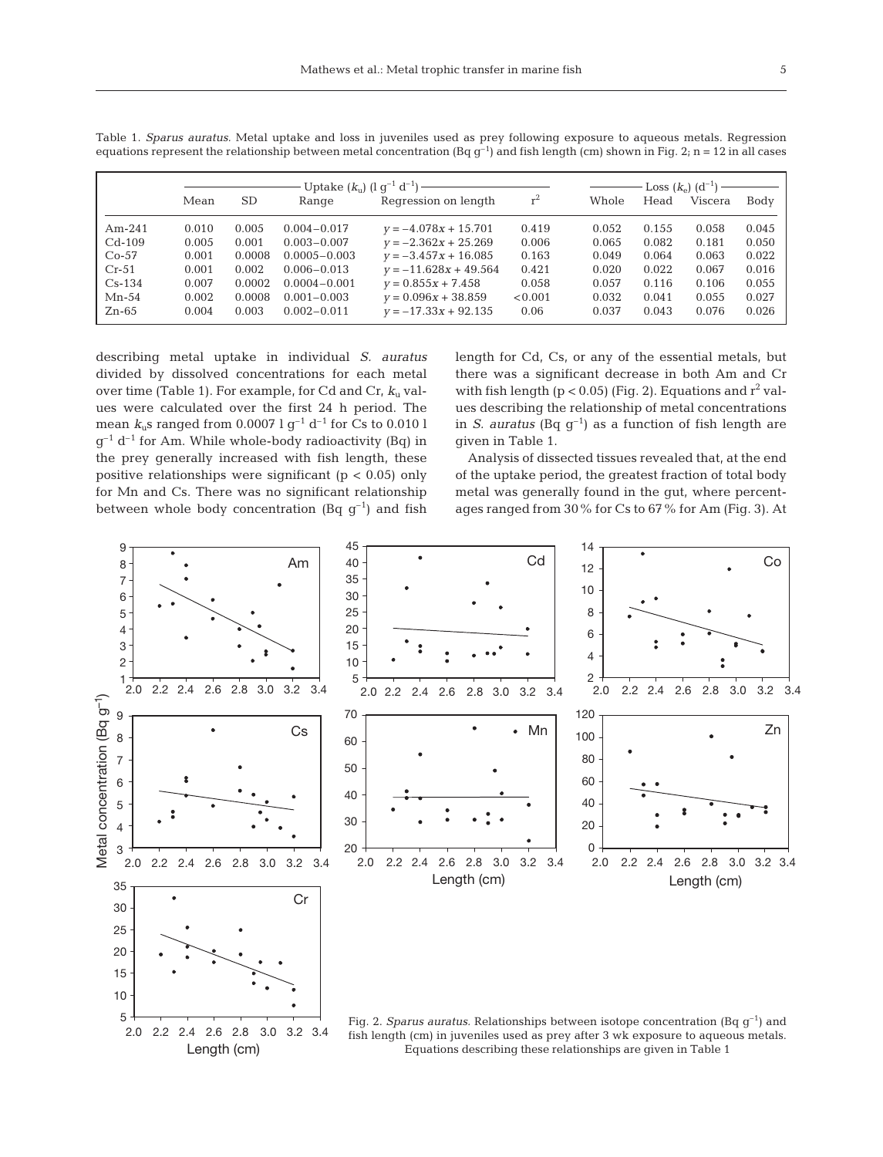|           | Uptake $(k_u)$ (1 g <sup>-1</sup> d <sup>-1</sup> ) – |        |                  |                         |         | Loss $(k_{\rm e})$ $(d^{-1})$ |       |         |       |
|-----------|-------------------------------------------------------|--------|------------------|-------------------------|---------|-------------------------------|-------|---------|-------|
|           | Mean                                                  | SD     | Range            | Regression on length    | $r^2$   | Whole                         | Head  | Viscera | Body  |
| Am- $241$ | 0.010                                                 | 0.005  | $0.004 - 0.017$  | $v = -4.078x + 15.701$  | 0.419   | 0.052                         | 0.155 | 0.058   | 0.045 |
| $Cd-109$  | 0.005                                                 | 0.001  | $0.003 - 0.007$  | $v = -2.362x + 25.269$  | 0.006   | 0.065                         | 0.082 | 0.181   | 0.050 |
| $Co-57$   | 0.001                                                 | 0.0008 | $0.0005 - 0.003$ | $v = -3.457x + 16.085$  | 0.163   | 0.049                         | 0.064 | 0.063   | 0.022 |
| $Cr-51$   | 0.001                                                 | 0.002  | $0.006 - 0.013$  | $v = -11.628x + 49.564$ | 0.421   | 0.020                         | 0.022 | 0.067   | 0.016 |
| $Cs-134$  | 0.007                                                 | 0.0002 | $0.0004 - 0.001$ | $v = 0.855x + 7.458$    | 0.058   | 0.057                         | 0.116 | 0.106   | 0.055 |
| $Mn-54$   | 0.002                                                 | 0.0008 | $0.001 - 0.003$  | $v = 0.096x + 38.859$   | < 0.001 | 0.032                         | 0.041 | 0.055   | 0.027 |
| $Zn-65$   | 0.004                                                 | 0.003  | $0.002 - 0.011$  | $v = -17.33x + 92.135$  | 0.06    | 0.037                         | 0.043 | 0.076   | 0.026 |

Table 1. *Sparus auratus.* Metal uptake and loss in juveniles used as prey following exposure to aqueous metals. Regression equations represent the relationship between metal concentration  $(Bq\,g^{-1})$  and fish length (cm) shown in Fig. 2; n = 12 in all cases

describing metal uptake in individual *S. auratus* divided by dissolved concentrations for each metal over time (Table 1). For example, for Cd and Cr,  $k_u$  values were calculated over the first 24 h period. The mean  $k_0$ s ranged from 0.0007 l g<sup>-1</sup> d<sup>-1</sup> for Cs to 0.010 l  $\mathbf{g}^{-1}$  d $^{-1}$  for Am. While whole-body radioactivity (Bq) in the prey generally increased with fish length, these positive relationships were significant  $(p < 0.05)$  only for Mn and Cs. There was no significant relationship between whole body concentration (Bq  $g^{-1}$ ) and fish

Length (cm)

length for Cd, Cs, or any of the essential metals, but there was a significant decrease in both Am and Cr with fish length ( $p < 0.05$ ) (Fig. 2). Equations and  $r^2$  values describing the relationship of metal concentrations in *S. auratus* (Bq  $g^{-1}$ ) as a function of fish length are given in Table 1.

Analysis of dissected tissues revealed that, at the end of the uptake period, the greatest fraction of total body metal was generally found in the gut, where percentages ranged from 30% for Cs to 67% for Am (Fig. 3). At



fish length (cm) in juveniles used as prey after 3 wk exposure to aqueous metals. Equations describing these relationships are given in Table 1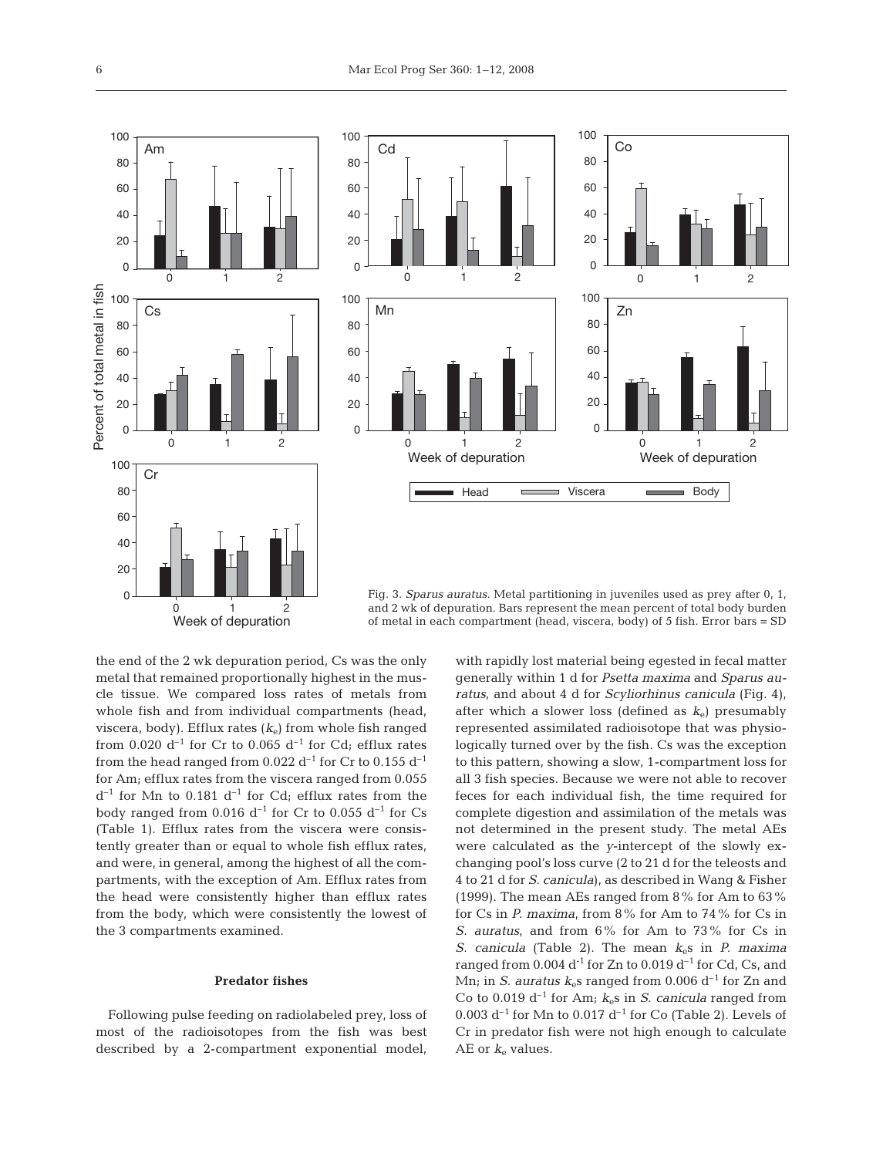



Fig. 3. *Sparus auratus.* Metal partitioning in juveniles used as prey after 0, 1, and 2 wk of depuration. Bars represent the mean percent of total body burden of metal in each compartment (head, viscera, body) of 5 fish. Error bars = SD

the end of the 2 wk depuration period, Cs was the only metal that remained proportionally highest in the muscle tissue. We compared loss rates of metals from whole fish and from individual compartments (head, viscera, body). Efflux rates (*k*e) from whole fish ranged from 0.020  $d^{-1}$  for Cr to 0.065  $d^{-1}$  for Cd; efflux rates from the head ranged from 0.022  $d^{-1}$  for Cr to 0.155  $d^{-1}$ for Am; efflux rates from the viscera ranged from 0.055  $d^{-1}$  for Mn to 0.181  $d^{-1}$  for Cd; efflux rates from the body ranged from 0.016  $d^{-1}$  for Cr to 0.055  $d^{-1}$  for Cs (Table 1). Efflux rates from the viscera were consistently greater than or equal to whole fish efflux rates, and were, in general, among the highest of all the compartments, with the exception of Am. Efflux rates from the head were consistently higher than efflux rates from the body, which were consistently the lowest of the 3 compartments examined.

#### **Predator fishes**

Following pulse feeding on radiolabeled prey, loss of most of the radioisotopes from the fish was best described by a 2-compartment exponential model, with rapidly lost material being egested in fecal matter generally within 1 d for *Psetta maxima* and *Sparus auratus*, and about 4 d for *Scyliorhinus canicula* (Fig. 4), after which a slower loss (defined as  $k_e$ ) presumably represented assimilated radioisotope that was physiologically turned over by the fish. Cs was the exception to this pattern, showing a slow, 1-compartment loss for all 3 fish species. Because we were not able to recover feces for each individual fish, the time required for complete digestion and assimilation of the metals was not determined in the present study. The metal AEs were calculated as the *y*-intercept of the slowly exchanging pool's loss curve (2 to 21 d for the teleosts and 4 to 21 d for *S. canicula*), as described in Wang & Fisher (1999). The mean AEs ranged from 8% for Am to 63% for Cs in *P. maxima*, from 8% for Am to 74% for Cs in *S. auratus*, and from 6% for Am to 73% for Cs in *S. canicula* (Table 2). The mean  $k_e$ s in *P. maxima* ranged from 0.004  $d^{-1}$  for Zn to 0.019  $d^{-1}$  for Cd, Cs, and Mn; in *S. auratus*  $k_e$ s ranged from 0.006  $d^{-1}$  for Zn and Co to 0.019  $d^{-1}$  for Am;  $k_e$ s in *S. canicula* ranged from 0.003  $d^{-1}$  for Mn to 0.017  $d^{-1}$  for Co (Table 2). Levels of Cr in predator fish were not high enough to calculate  $AE$  or  $k_e$  values.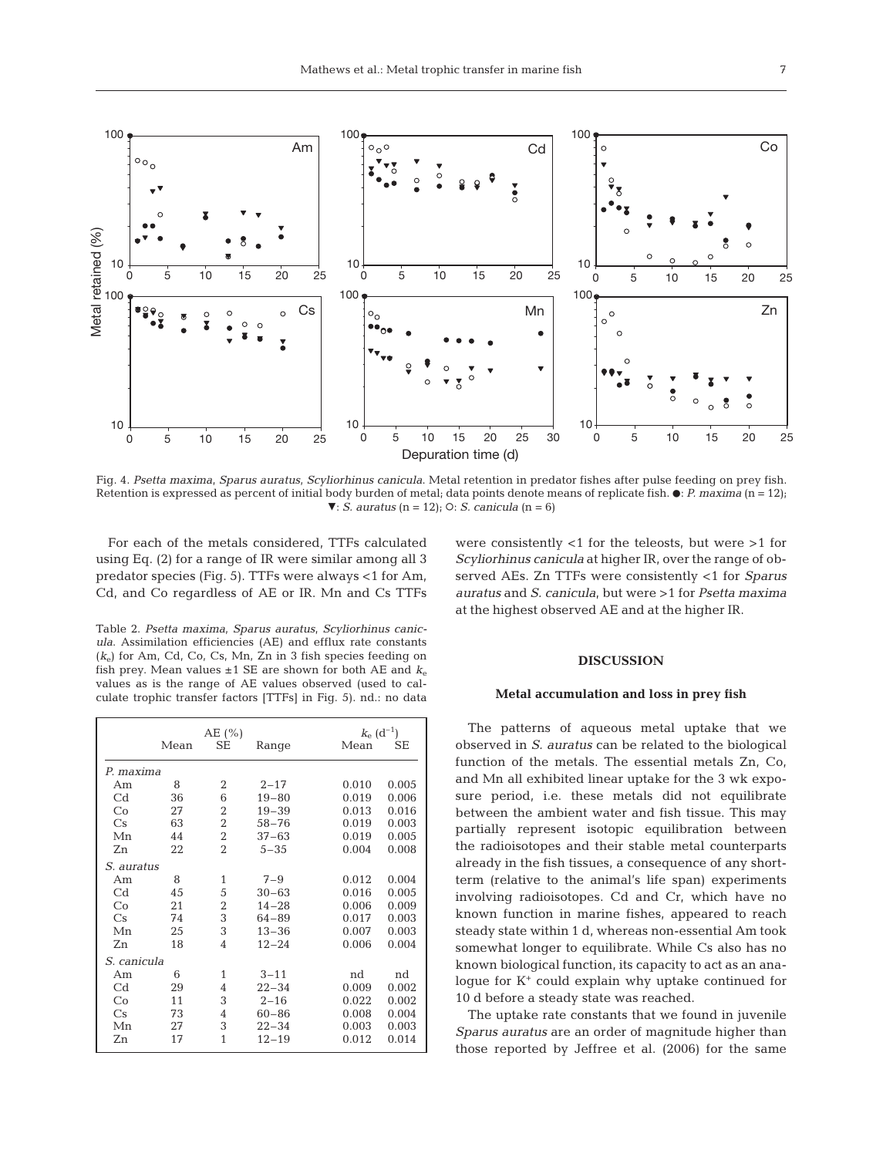

Fig. 4. *Psetta maxima*, *Sparus auratus*, *Scyliorhinus canicula*. Metal retention in predator fishes after pulse feeding on prey fish. Retention is expressed as percent of initial body burden of metal; data points denote means of replicate fish.  $\bullet$ : *P. maxima* (n = 12);  $\blacktriangledown$ : *S. auratus* (n = 12);  $\circ$ : *S. canicula* (n = 6)

For each of the metals considered, TTFs calculated using Eq. (2) for a range of IR were similar among all 3 predator species (Fig. 5). TTFs were always <1 for Am, Cd, and Co regardless of AE or IR. Mn and Cs TTFs

Table 2. *Psetta maxima*, *Sparus auratus*, *Scyliorhinus canicula*. Assimilation efficiencies (AE) and efflux rate constants (*k*e) for Am, Cd, Co, Cs, Mn, Zn in 3 fish species feeding on fish prey. Mean values  $\pm 1$  SE are shown for both AE and  $k_e$ values as is the range of AE values observed (used to calculate trophic transfer factors [TTFs] in Fig. 5). nd.: no data

|                |      | AE(%)          |           | $k_e$ (d <sup>-1</sup> ) |       |  |  |  |  |  |  |  |
|----------------|------|----------------|-----------|--------------------------|-------|--|--|--|--|--|--|--|
|                | Mean | SЕ             | Range     | Mean                     | SЕ    |  |  |  |  |  |  |  |
| P. maxima      |      |                |           |                          |       |  |  |  |  |  |  |  |
| Am             | 8    | $\overline{2}$ | $2 - 17$  | 0.010                    | 0.005 |  |  |  |  |  |  |  |
| C <sub>d</sub> | 36   | 6              | $19 - 80$ | 0.019                    | 0.006 |  |  |  |  |  |  |  |
| Co             | 27   | $\overline{2}$ | $19 - 39$ | 0.013                    | 0.016 |  |  |  |  |  |  |  |
| Cs             | 63   | $\overline{2}$ | $58 - 76$ | 0.019                    | 0.003 |  |  |  |  |  |  |  |
| Mn             | 44   | $\overline{2}$ | $37 - 63$ | 0.019                    | 0.005 |  |  |  |  |  |  |  |
| Zn             | 22   | $\overline{2}$ | $5 - 35$  | 0.004                    | 0.008 |  |  |  |  |  |  |  |
| S. auratus     |      |                |           |                          |       |  |  |  |  |  |  |  |
| Am             | 8    | 1              | $7 - 9$   | 0.012                    | 0.004 |  |  |  |  |  |  |  |
| Cd             | 45   | 5              | $30 - 63$ | 0.016                    | 0.005 |  |  |  |  |  |  |  |
| Co             | 21   | 2              | $14 - 28$ | 0.006                    | 0.009 |  |  |  |  |  |  |  |
| Cs             | 74   | 3              | $64 - 89$ | 0.017                    | 0.003 |  |  |  |  |  |  |  |
| Mn             | 25   | 3              | $13 - 36$ | 0.007                    | 0.003 |  |  |  |  |  |  |  |
| Zn             | 18   | $\overline{4}$ | $12 - 24$ | 0.006                    | 0.004 |  |  |  |  |  |  |  |
| S. canicula    |      |                |           |                          |       |  |  |  |  |  |  |  |
| Am             | 6    | 1              | $3 - 11$  | nd                       | nd    |  |  |  |  |  |  |  |
| C <sub>d</sub> | 29   | 4              | $22 - 34$ | 0.009                    | 0.002 |  |  |  |  |  |  |  |
| Co             | 11   | 3              | $2 - 16$  | 0.022                    | 0.002 |  |  |  |  |  |  |  |
| Cs             | 73   | 4              | $60 - 86$ | 0.008                    | 0.004 |  |  |  |  |  |  |  |
| Mn             | 27   | 3              | $22 - 34$ | 0.003                    | 0.003 |  |  |  |  |  |  |  |
| Zn             | 17   | 1              | $12 - 19$ | 0.012                    | 0.014 |  |  |  |  |  |  |  |

were consistently <1 for the teleosts, but were >1 for *Scyliorhinus canicula* at higher IR, over the range of observed AEs. Zn TTFs were consistently <1 for *Sparus auratus* and *S. canicula*, but were >1 for *Psetta maxima* at the highest observed AE and at the higher IR.

#### **DISCUSSION**

#### **Metal accumulation and loss in prey fish**

The patterns of aqueous metal uptake that we observed in *S. auratus* can be related to the biological function of the metals. The essential metals Zn, Co, and Mn all exhibited linear uptake for the 3 wk exposure period, i.e. these metals did not equilibrate between the ambient water and fish tissue. This may partially represent isotopic equilibration between the radioisotopes and their stable metal counterparts already in the fish tissues, a consequence of any shortterm (relative to the animal's life span) experiments involving radioisotopes. Cd and Cr, which have no known function in marine fishes, appeared to reach steady state within 1 d, whereas non-essential Am took somewhat longer to equilibrate. While Cs also has no known biological function, its capacity to act as an analogue for  $K^+$  could explain why uptake continued for 10 d before a steady state was reached.

The uptake rate constants that we found in juvenile *Sparus auratus* are an order of magnitude higher than those reported by Jeffree et al. (2006) for the same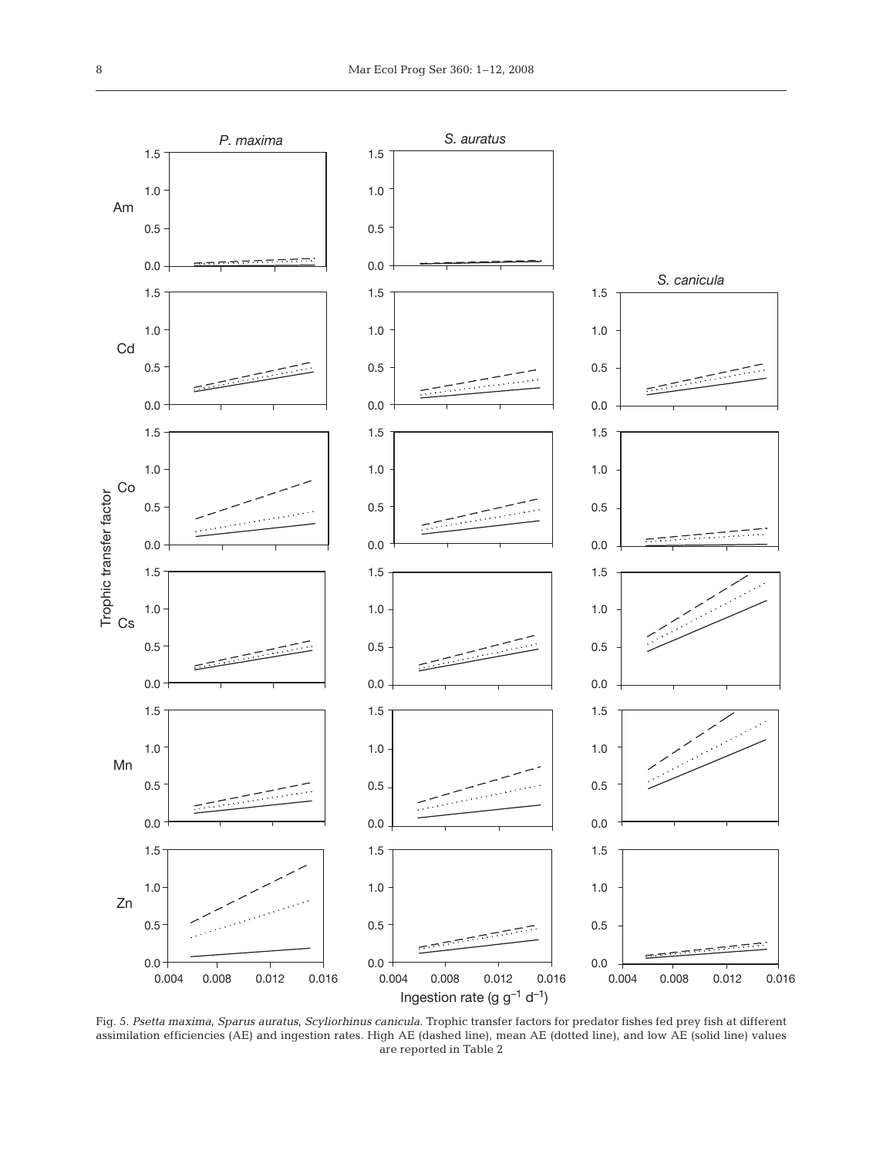

Fig. 5. *Psetta maxima*, *Sparus auratus*, *Scyliorhinus canicula*. Trophic transfer factors for predator fishes fed prey fish at different assimilation efficiencies (AE) and ingestion rates. High AE (dashed line), mean AE (dotted line), and low AE (solid line) values are reported in Table 2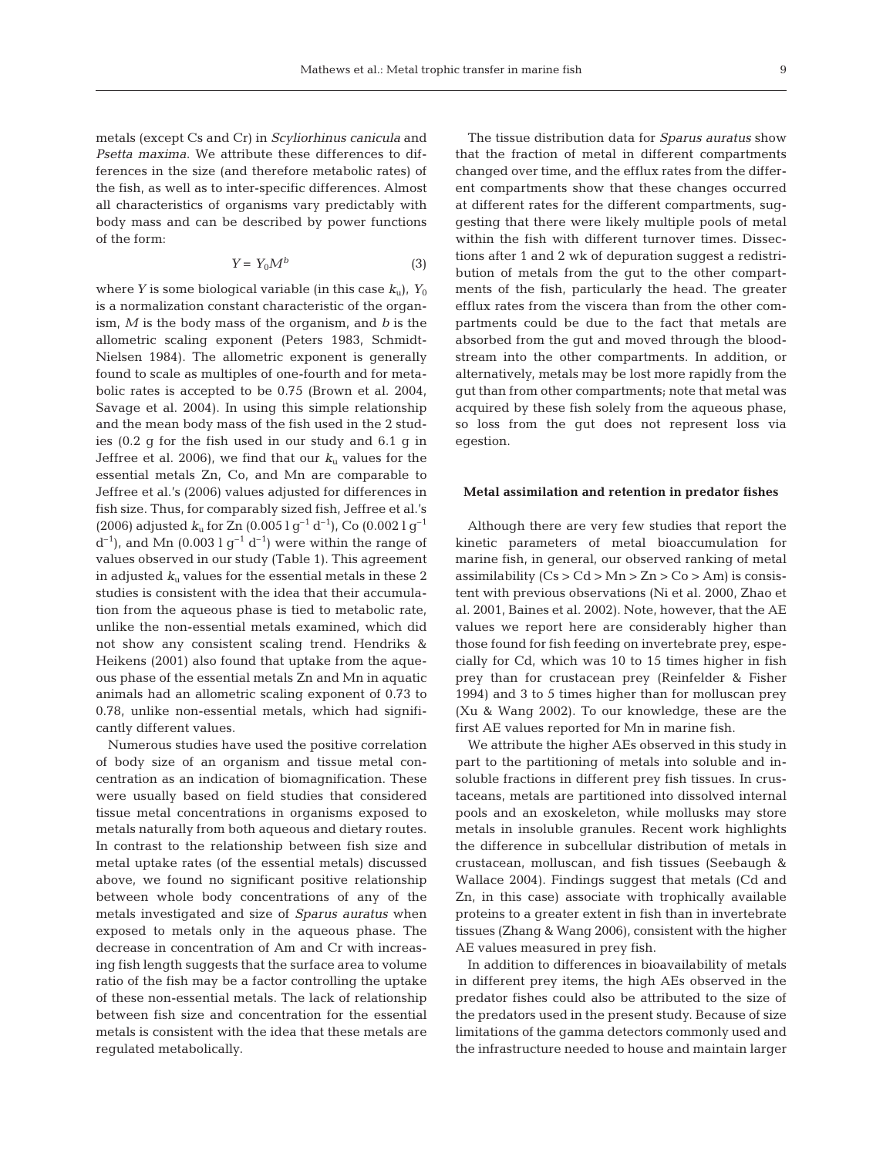metals (except Cs and Cr) in *Scyliorhinus canicula* and *Psetta maxima*. We attribute these differences to differences in the size (and therefore metabolic rates) of the fish, as well as to inter-specific differences. Almost all characteristics of organisms vary predictably with body mass and can be described by power functions of the form:

$$
Y = Y_0 M^b \tag{3}
$$

where *Y* is some biological variable (in this case  $k_{\rm u}$ ),  $Y_0$ is a normalization constant characteristic of the organism, *M* is the body mass of the organism, and *b* is the allometric scaling exponent (Peters 1983, Schmidt-Nielsen 1984). The allometric exponent is generally found to scale as multiples of one-fourth and for metabolic rates is accepted to be 0.75 (Brown et al. 2004, Savage et al. 2004). In using this simple relationship and the mean body mass of the fish used in the 2 studies (0.2 g for the fish used in our study and 6.1 g in Jeffree et al. 2006), we find that our  $k_{\rm u}$  values for the essential metals Zn, Co, and Mn are comparable to Jeffree et al.'s (2006) values adjusted for differences in fish size. Thus, for comparably sized fish, Jeffree et al.'s (2006) adjusted  $k_u$  for Zn (0.005 l g<sup>-1</sup> d<sup>-1</sup>), Co (0.002 l g<sup>-1</sup>  $d^{-1}$ ), and Mn (0.003 l  $g^{-1}$   $d^{-1}$ ) were within the range of values observed in our study (Table 1). This agreement in adjusted  $k_{\rm u}$  values for the essential metals in these 2 studies is consistent with the idea that their accumulation from the aqueous phase is tied to metabolic rate, unlike the non-essential metals examined, which did not show any consistent scaling trend. Hendriks & Heikens (2001) also found that uptake from the aqueous phase of the essential metals Zn and Mn in aquatic animals had an allometric scaling exponent of 0.73 to 0.78, unlike non-essential metals, which had significantly different values.

Numerous studies have used the positive correlation of body size of an organism and tissue metal concentration as an indication of biomagnification. These were usually based on field studies that considered tissue metal concentrations in organisms exposed to metals naturally from both aqueous and dietary routes. In contrast to the relationship between fish size and metal uptake rates (of the essential metals) discussed above, we found no significant positive relationship between whole body concentrations of any of the metals investigated and size of *Sparus auratus* when exposed to metals only in the aqueous phase. The decrease in concentration of Am and Cr with increasing fish length suggests that the surface area to volume ratio of the fish may be a factor controlling the uptake of these non-essential metals. The lack of relationship between fish size and concentration for the essential metals is consistent with the idea that these metals are regulated metabolically.

The tissue distribution data for *Sparus auratus* show that the fraction of metal in different compartments changed over time, and the efflux rates from the different compartments show that these changes occurred at different rates for the different compartments, suggesting that there were likely multiple pools of metal within the fish with different turnover times. Dissections after 1 and 2 wk of depuration suggest a redistribution of metals from the gut to the other compartments of the fish, particularly the head. The greater efflux rates from the viscera than from the other compartments could be due to the fact that metals are absorbed from the gut and moved through the bloodstream into the other compartments. In addition, or alternatively, metals may be lost more rapidly from the gut than from other compartments; note that metal was acquired by these fish solely from the aqueous phase, so loss from the gut does not represent loss via egestion.

#### **Metal assimilation and retention in predator fishes**

Although there are very few studies that report the kinetic parameters of metal bioaccumulation for marine fish, in general, our observed ranking of metal assimilability  $(Cs > Cd > Mn > Zn > Co > Am)$  is consistent with previous observations (Ni et al. 2000, Zhao et al. 2001, Baines et al. 2002). Note, however, that the AE values we report here are considerably higher than those found for fish feeding on invertebrate prey, especially for Cd, which was 10 to 15 times higher in fish prey than for crustacean prey (Reinfelder & Fisher 1994) and 3 to 5 times higher than for molluscan prey (Xu & Wang 2002). To our knowledge, these are the first AE values reported for Mn in marine fish.

We attribute the higher AEs observed in this study in part to the partitioning of metals into soluble and insoluble fractions in different prey fish tissues. In crustaceans, metals are partitioned into dissolved internal pools and an exoskeleton, while mollusks may store metals in insoluble granules. Recent work highlights the difference in subcellular distribution of metals in crustacean, molluscan, and fish tissues (Seebaugh & Wallace 2004). Findings suggest that metals (Cd and Zn, in this case) associate with trophically available proteins to a greater extent in fish than in invertebrate tissues (Zhang & Wang 2006), consistent with the higher AE values measured in prey fish.

In addition to differences in bioavailability of metals in different prey items, the high AEs observed in the predator fishes could also be attributed to the size of the predators used in the present study. Because of size limitations of the gamma detectors commonly used and the infrastructure needed to house and maintain larger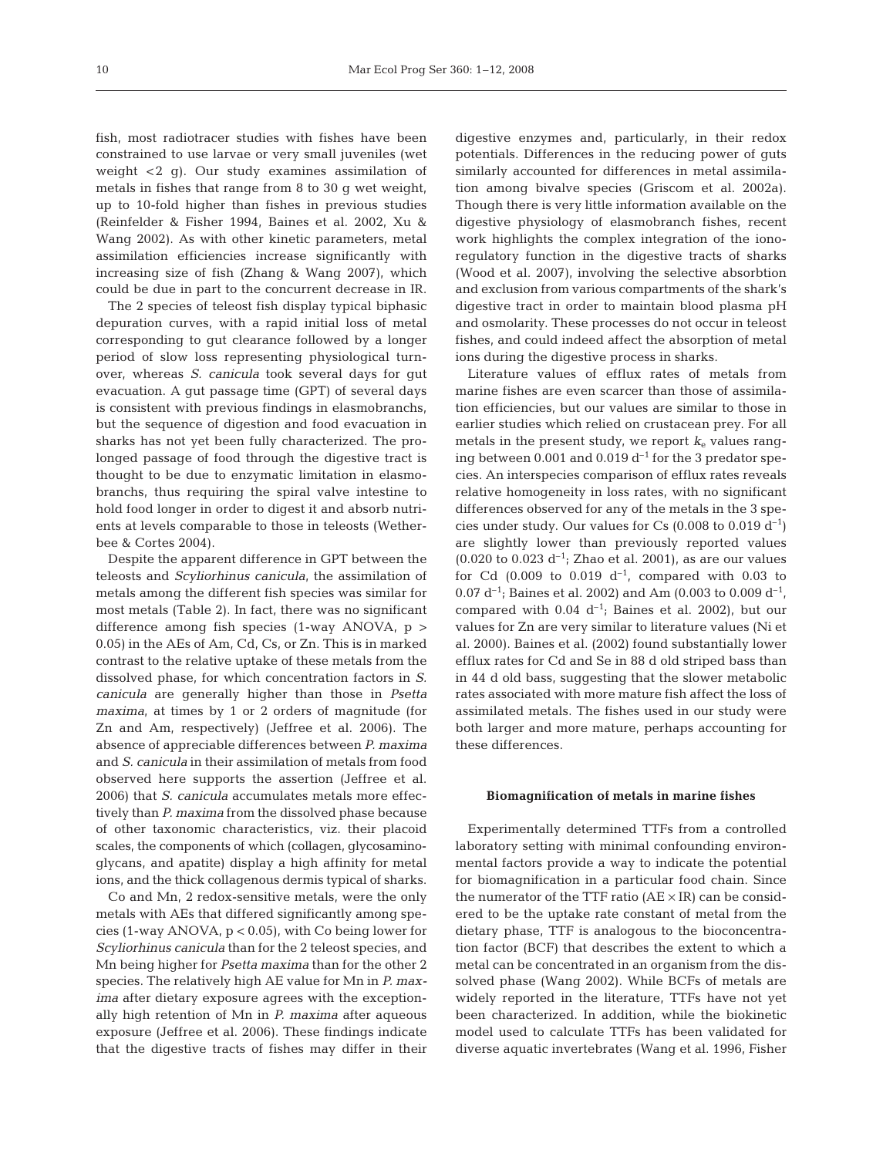fish, most radiotracer studies with fishes have been constrained to use larvae or very small juveniles (wet weight <2 g). Our study examines assimilation of metals in fishes that range from 8 to 30 g wet weight, up to 10-fold higher than fishes in previous studies (Reinfelder & Fisher 1994, Baines et al. 2002, Xu & Wang 2002). As with other kinetic parameters, metal assimilation efficiencies increase significantly with increasing size of fish (Zhang & Wang 2007), which could be due in part to the concurrent decrease in IR.

The 2 species of teleost fish display typical biphasic depuration curves, with a rapid initial loss of metal corresponding to gut clearance followed by a longer period of slow loss representing physiological turnover, whereas *S. canicula* took several days for gut evacuation. A gut passage time (GPT) of several days is consistent with previous findings in elasmobranchs, but the sequence of digestion and food evacuation in sharks has not yet been fully characterized. The prolonged passage of food through the digestive tract is thought to be due to enzymatic limitation in elasmobranchs, thus requiring the spiral valve intestine to hold food longer in order to digest it and absorb nutrients at levels comparable to those in teleosts (Wetherbee & Cortes 2004).

Despite the apparent difference in GPT between the teleosts and *Scyliorhinus canicula*, the assimilation of metals among the different fish species was similar for most metals (Table 2). In fact, there was no significant difference among fish species (1-way ANOVA, p > 0.05) in the AEs of Am, Cd, Cs, or Zn. This is in marked contrast to the relative uptake of these metals from the dissolved phase, for which concentration factors in *S. canicula* are generally higher than those in *Psetta maxima*, at times by 1 or 2 orders of magnitude (for Zn and Am, respectively) (Jeffree et al. 2006). The absence of appreciable differences between *P. maxima* and *S. canicula* in their assimilation of metals from food observed here supports the assertion (Jeffree et al. 2006) that *S. canicula* accumulates metals more effectively than *P. maxima* from the dissolved phase because of other taxonomic characteristics, viz. their placoid scales, the components of which (collagen, glycosaminoglycans, and apatite) display a high affinity for metal ions, and the thick collagenous dermis typical of sharks.

Co and Mn, 2 redox-sensitive metals, were the only metals with AEs that differed significantly among species (1-way ANOVA, p < 0.05), with Co being lower for *Scyliorhinus canicula* than for the 2 teleost species, and Mn being higher for *Psetta maxima* than for the other 2 species. The relatively high AE value for Mn in *P. maxima* after dietary exposure agrees with the exceptionally high retention of Mn in *P. maxima* after aqueous exposure (Jeffree et al. 2006). These findings indicate that the digestive tracts of fishes may differ in their

digestive enzymes and, particularly, in their redox potentials. Differences in the reducing power of guts similarly accounted for differences in metal assimilation among bivalve species (Griscom et al. 2002a). Though there is very little information available on the digestive physiology of elasmobranch fishes, recent work highlights the complex integration of the ionoregulatory function in the digestive tracts of sharks (Wood et al. 2007), involving the selective absorbtion and exclusion from various compartments of the shark's digestive tract in order to maintain blood plasma pH and osmolarity. These processes do not occur in teleost fishes, and could indeed affect the absorption of metal ions during the digestive process in sharks.

Literature values of efflux rates of metals from marine fishes are even scarcer than those of assimilation efficiencies, but our values are similar to those in earlier studies which relied on crustacean prey. For all metals in the present study, we report  $k_{e}$  values ranging between 0.001 and 0.019  $d^{-1}$  for the 3 predator species. An interspecies comparison of efflux rates reveals relative homogeneity in loss rates, with no significant differences observed for any of the metals in the 3 species under study. Our values for Cs  $(0.008 \text{ to } 0.019 \text{ d}^{-1})$ are slightly lower than previously reported values  $(0.020 \text{ to } 0.023 \text{ d}^{-1})$ ; Zhao et al. 2001), as are our values for Cd  $(0.009 \text{ to } 0.019 \text{ d}^{-1})$ , compared with 0.03 to 0.07  $d^{-1}$ ; Baines et al. 2002) and Am (0.003 to 0.009  $d^{-1}$ , compared with  $0.04 \text{ d}^{-1}$ ; Baines et al. 2002), but our values for Zn are very similar to literature values (Ni et al. 2000). Baines et al. (2002) found substantially lower efflux rates for Cd and Se in 88 d old striped bass than in 44 d old bass, suggesting that the slower metabolic rates associated with more mature fish affect the loss of assimilated metals. The fishes used in our study were both larger and more mature, perhaps accounting for these differences.

#### **Biomagnification of metals in marine fishes**

Experimentally determined TTFs from a controlled laboratory setting with minimal confounding environmental factors provide a way to indicate the potential for biomagnification in a particular food chain. Since the numerator of the TTF ratio  $(AE \times IR)$  can be considered to be the uptake rate constant of metal from the dietary phase, TTF is analogous to the bioconcentration factor (BCF) that describes the extent to which a metal can be concentrated in an organism from the dissolved phase (Wang 2002). While BCFs of metals are widely reported in the literature, TTFs have not yet been characterized. In addition, while the biokinetic model used to calculate TTFs has been validated for diverse aquatic invertebrates (Wang et al. 1996, Fisher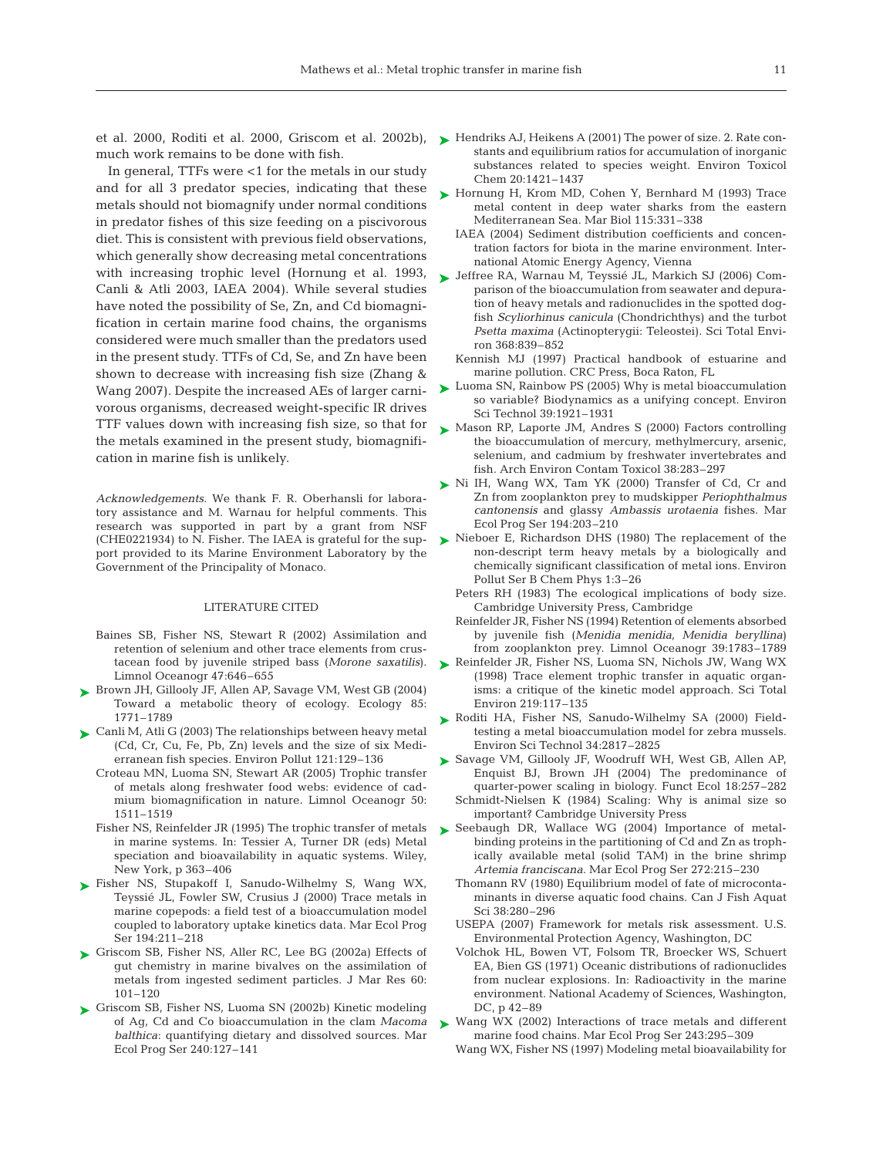et al. 2000, Roditi et al. 2000, Griscom et al. 2002b), Hendriks AJ, Heikens A (2001) The power of size. 2. Rate con-➤ much work remains to be done with fish.

In general, TTFs were <1 for the metals in our study and for all 3 predator species, indicating that these metals should not biomagnify under normal conditions in predator fishes of this size feeding on a piscivorous diet. This is consistent with previous field observations, which generally show decreasing metal concentrations with increasing trophic level (Hornung et al. 1993, Canli & Atli 2003, IAEA 2004). While several studies have noted the possibility of Se, Zn, and Cd biomagnification in certain marine food chains, the organisms considered were much smaller than the predators used in the present study. TTFs of Cd, Se, and Zn have been shown to decrease with increasing fish size (Zhang & Wang 2007). Despite the increased AEs of larger carnivorous organisms, decreased weight-specific IR drives TTF values down with increasing fish size, so that for the metals examined in the present study, biomagnification in marine fish is unlikely.

*Acknowledgements.* We thank F. R. Oberhansli for laboratory assistance and M. Warnau for helpful comments. This research was supported in part by a grant from NSF (CHE0221934) to N. Fisher. The IAEA is grateful for the support provided to its Marine Environment Laboratory by the Government of the Principality of Monaco.

#### LITERATURE CITED

- Baines SB, Fisher NS, Stewart R (2002) Assimilation and retention of selenium and other trace elements from crustacean food by juvenile striped bass (*Morone saxatilis*). Limnol Oceanogr 47:646–655
- ▶ Brown JH, Gillooly JF, Allen AP, Savage VM, West GB (2004) Toward a metabolic theory of ecology. Ecology 85: 1771–1789
- ► Canli M, Atli G (2003) The relationships between heavy metal (Cd, Cr, Cu, Fe, Pb, Zn) levels and the size of six Medierranean fish species. Environ Pollut 121:129–136
	- Croteau MN, Luoma SN, Stewart AR (2005) Trophic transfer of metals along freshwater food webs: evidence of cadmium biomagnification in nature. Limnol Oceanogr 50: 1511–1519
	- Fisher NS, Reinfelder JR (1995) The trophic transfer of metals in marine systems. In: Tessier A, Turner DR (eds) Metal speciation and bioavailability in aquatic systems. Wiley, New York, p 363–406
- Fisher NS, Stupakoff I, Sanudo-Wilhelmy S, Wang WX, ➤ Teyssié JL, Fowler SW, Crusius J (2000) Trace metals in marine copepods: a field test of a bioaccumulation model coupled to laboratory uptake kinetics data. Mar Ecol Prog Ser 194:211–218
- ▶ Griscom SB, Fisher NS, Aller RC, Lee BG (2002a) Effects of gut chemistry in marine bivalves on the assimilation of metals from ingested sediment particles. J Mar Res 60: 101–120
- ► Griscom SB, Fisher NS, Luoma SN (2002b) Kinetic modeling of Ag, Cd and Co bioaccumulation in the clam *Macoma balthica*: quantifying dietary and dissolved sources. Mar Ecol Prog Ser 240:127–141
- stants and equilibrium ratios for accumulation of inorganic substances related to species weight. Environ Toxicol Chem 20:1421–1437
- ► Hornung H, Krom MD, Cohen Y, Bernhard M (1993) Trace metal content in deep water sharks from the eastern Mediterranean Sea. Mar Biol 115:331–338
	- IAEA (2004) Sediment distribution coefficients and concentration factors for biota in the marine environment. International Atomic Energy Agency, Vienna
- Jeffree RA, Warnau M, Teyssié JL, Markich SJ (2006) Com-➤ parison of the bioaccumulation from seawater and depuration of heavy metals and radionuclides in the spotted dogfish *Scyliorhinus canicula* (Chondrichthys) and the turbot *Psetta maxima* (Actinopterygii: Teleostei). Sci Total Environ 368:839–852
	- Kennish MJ (1997) Practical handbook of estuarine and marine pollution. CRC Press, Boca Raton, FL
- ► Luoma SN, Rainbow PS (2005) Why is metal bioaccumulation so variable? Biodynamics as a unifying concept. Environ Sci Technol 39:1921–1931
- ► Mason RP, Laporte JM, Andres S (2000) Factors controlling the bioaccumulation of mercury, methylmercury, arsenic, selenium, and cadmium by freshwater invertebrates and fish. Arch Environ Contam Toxicol 38:283–297
- ► Ni IH, Wang WX, Tam YK (2000) Transfer of Cd, Cr and Zn from zooplankton prey to mudskipper *Periophthalmus cantonensis* and glassy *Ambassis urotaenia* fishes. Mar Ecol Prog Ser 194:203–210
- ► Nieboer E, Richardson DHS (1980) The replacement of the non-descript term heavy metals by a biologically and chemically significant classification of metal ions. Environ Pollut Ser B Chem Phys 1:3–26
	- Peters RH (1983) The ecological implications of body size. Cambridge University Press, Cambridge
	- Reinfelder JR, Fisher NS (1994) Retention of elements absorbed by juvenile fish (*Menidia menidia*, *Menidia beryllina*) from zooplankton prey. Limnol Oceanogr 39:1783–1789
- ► Reinfelder JR, Fisher NS, Luoma SN, Nichols JW, Wang WX (1998) Trace element trophic transfer in aquatic organisms: a critique of the kinetic model approach. Sci Total Environ 219:117–135
- ▶ Roditi HA, Fisher NS, Sanudo-Wilhelmy SA (2000) Fieldtesting a metal bioaccumulation model for zebra mussels. Environ Sci Technol 34:2817–2825
- ▶ Savage VM, Gillooly JF, Woodruff WH, West GB, Allen AP, Enquist BJ, Brown JH (2004) The predominance of quarter-power scaling in biology. Funct Ecol 18:257–282
	- Schmidt-Nielsen K (1984) Scaling: Why is animal size so important? Cambridge University Press
- ▶ Seebaugh DR, Wallace WG (2004) Importance of metalbinding proteins in the partitioning of Cd and Zn as trophically available metal (solid TAM) in the brine shrimp *Artemia franciscana.* Mar Ecol Prog Ser 272:215–230
	- Thomann RV (1980) Equilibrium model of fate of microcontaminants in diverse aquatic food chains. Can J Fish Aquat Sci 38:280–296
	- USEPA (2007) Framework for metals risk assessment. U.S. Environmental Protection Agency, Washington, DC
	- Volchok HL, Bowen VT, Folsom TR, Broecker WS, Schuert EA, Bien GS (1971) Oceanic distributions of radionuclides from nuclear explosions. In: Radioactivity in the marine environment. National Academy of Sciences, Washington, DC, p 42–89
- ► Wang WX (2002) Interactions of trace metals and different marine food chains. Mar Ecol Prog Ser 243:295–309
	- Wang WX, Fisher NS (1997) Modeling metal bioavailability for